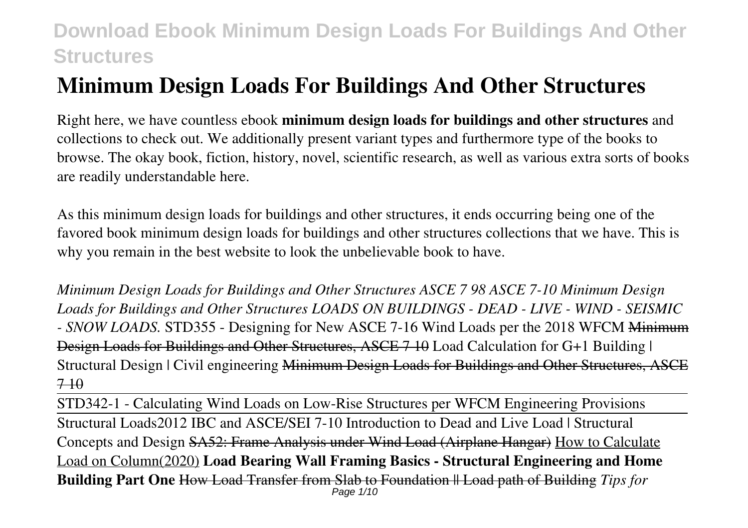# **Minimum Design Loads For Buildings And Other Structures**

Right here, we have countless ebook **minimum design loads for buildings and other structures** and collections to check out. We additionally present variant types and furthermore type of the books to browse. The okay book, fiction, history, novel, scientific research, as well as various extra sorts of books are readily understandable here.

As this minimum design loads for buildings and other structures, it ends occurring being one of the favored book minimum design loads for buildings and other structures collections that we have. This is why you remain in the best website to look the unbelievable book to have.

*Minimum Design Loads for Buildings and Other Structures ASCE 7 98 ASCE 7-10 Minimum Design Loads for Buildings and Other Structures LOADS ON BUILDINGS - DEAD - LIVE - WIND - SEISMIC - SNOW LOADS.* STD355 - Designing for New ASCE 7-16 Wind Loads per the 2018 WFCM Minimum Design Loads for Buildings and Other Structures, ASCE 7 10 Load Calculation for G+1 Building | Structural Design | Civil engineering Minimum Design Loads for Buildings and Other Structures, ASCE  $7 - 10$ 

STD342-1 - Calculating Wind Loads on Low-Rise Structures per WFCM Engineering Provisions Structural Loads2012 IBC and ASCE/SEI 7-10 Introduction to Dead and Live Load | Structural Concepts and Design SA52: Frame Analysis under Wind Load (Airplane Hangar) How to Calculate Load on Column(2020) **Load Bearing Wall Framing Basics - Structural Engineering and Home Building Part One** How Load Transfer from Slab to Foundation || Load path of Building *Tips for* Page 1/10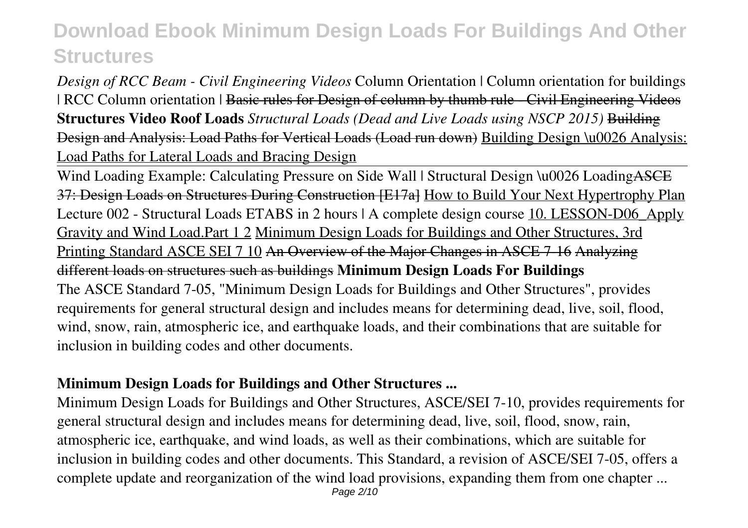*Design of RCC Beam - Civil Engineering Videos* Column Orientation | Column orientation for buildings | RCC Column orientation | Basic rules for Design of column by thumb rule - Civil Engineering Videos **Structures Video Roof Loads** *Structural Loads (Dead and Live Loads using NSCP 2015)* Building Design and Analysis: Load Paths for Vertical Loads (Load run down) Building Design \u0026 Analysis: Load Paths for Lateral Loads and Bracing Design

Wind Loading Example: Calculating Pressure on Side Wall | Structural Design \u0026 Loading ASCE 37: Design Loads on Structures During Construction [E17a] How to Build Your Next Hypertrophy Plan Lecture 002 - Structural Loads ETABS in 2 hours | A complete design course 10. LESSON-D06 Apply Gravity and Wind Load.Part 1 2 Minimum Design Loads for Buildings and Other Structures, 3rd Printing Standard ASCE SEI 7 10 An Overview of the Major Changes in ASCE 7-16 Analyzing different loads on structures such as buildings **Minimum Design Loads For Buildings** The ASCE Standard 7-05, "Minimum Design Loads for Buildings and Other Structures", provides requirements for general structural design and includes means for determining dead, live, soil, flood, wind, snow, rain, atmospheric ice, and earthquake loads, and their combinations that are suitable for inclusion in building codes and other documents.

### **Minimum Design Loads for Buildings and Other Structures ...**

Minimum Design Loads for Buildings and Other Structures, ASCE/SEI 7-10, provides requirements for general structural design and includes means for determining dead, live, soil, flood, snow, rain, atmospheric ice, earthquake, and wind loads, as well as their combinations, which are suitable for inclusion in building codes and other documents. This Standard, a revision of ASCE/SEI 7-05, offers a complete update and reorganization of the wind load provisions, expanding them from one chapter ...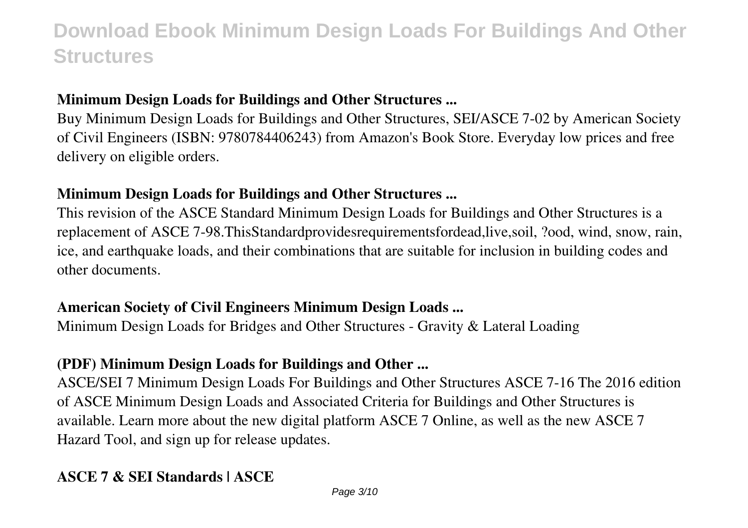## **Minimum Design Loads for Buildings and Other Structures ...**

Buy Minimum Design Loads for Buildings and Other Structures, SEI/ASCE 7-02 by American Society of Civil Engineers (ISBN: 9780784406243) from Amazon's Book Store. Everyday low prices and free delivery on eligible orders.

#### **Minimum Design Loads for Buildings and Other Structures ...**

This revision of the ASCE Standard Minimum Design Loads for Buildings and Other Structures is a replacement of ASCE 7-98.ThisStandardprovidesrequirementsfordead,live,soil, ?ood, wind, snow, rain, ice, and earthquake loads, and their combinations that are suitable for inclusion in building codes and other documents.

### **American Society of Civil Engineers Minimum Design Loads ...**

Minimum Design Loads for Bridges and Other Structures - Gravity & Lateral Loading

## **(PDF) Minimum Design Loads for Buildings and Other ...**

ASCE/SEI 7 Minimum Design Loads For Buildings and Other Structures ASCE 7-16 The 2016 edition of ASCE Minimum Design Loads and Associated Criteria for Buildings and Other Structures is available. Learn more about the new digital platform ASCE 7 Online, as well as the new ASCE 7 Hazard Tool, and sign up for release updates.

## **ASCE 7 & SEI Standards | ASCE**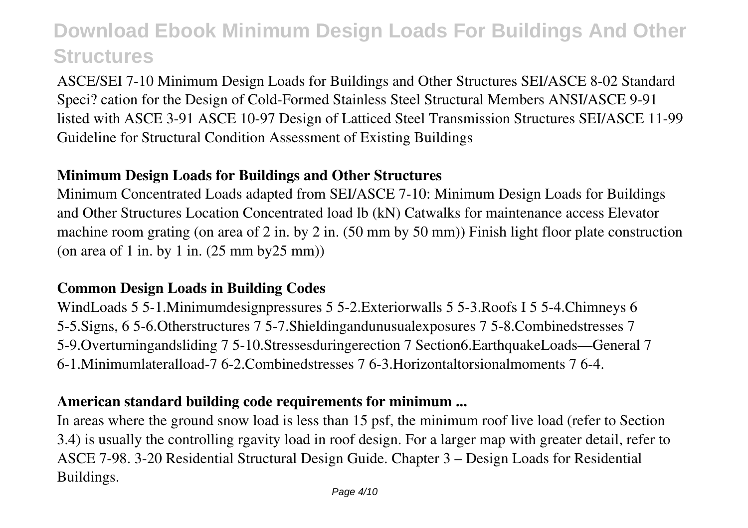ASCE/SEI 7-10 Minimum Design Loads for Buildings and Other Structures SEI/ASCE 8-02 Standard Speci? cation for the Design of Cold-Formed Stainless Steel Structural Members ANSI/ASCE 9-91 listed with ASCE 3-91 ASCE 10-97 Design of Latticed Steel Transmission Structures SEI/ASCE 11-99 Guideline for Structural Condition Assessment of Existing Buildings

## **Minimum Design Loads for Buildings and Other Structures**

Minimum Concentrated Loads adapted from SEI/ASCE 7-10: Minimum Design Loads for Buildings and Other Structures Location Concentrated load lb (kN) Catwalks for maintenance access Elevator machine room grating (on area of 2 in. by 2 in. (50 mm by 50 mm)) Finish light floor plate construction (on area of 1 in. by 1 in. (25 mm by25 mm))

### **Common Design Loads in Building Codes**

WindLoads 5 5-1.Minimumdesignpressures 5 5-2.Exteriorwalls 5 5-3.Roofs I 5 5-4.Chimneys 6 5-5.Signs, 6 5-6.Otherstructures 7 5-7.Shieldingandunusualexposures 7 5-8.Combinedstresses 7 5-9.Overturningandsliding 7 5-10.Stressesduringerection 7 Section6.EarthquakeLoads—General 7 6-1.Minimumlateralload-7 6-2.Combinedstresses 7 6-3.Horizontaltorsionalmoments 7 6-4.

### **American standard building code requirements for minimum ...**

In areas where the ground snow load is less than 15 psf, the minimum roof live load (refer to Section 3.4) is usually the controlling rgavity load in roof design. For a larger map with greater detail, refer to ASCE 7-98. 3-20 Residential Structural Design Guide. Chapter 3 – Design Loads for Residential Buildings.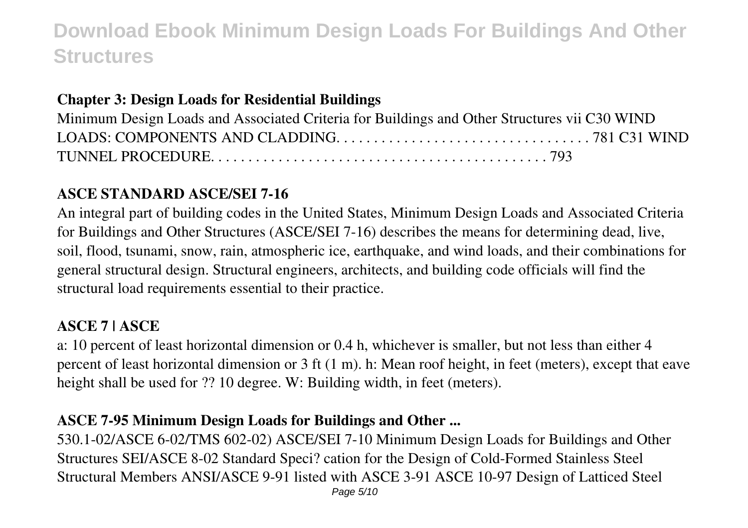## **Chapter 3: Design Loads for Residential Buildings**

| Minimum Design Loads and Associated Criteria for Buildings and Other Structures vii C30 WIND |  |
|----------------------------------------------------------------------------------------------|--|
|                                                                                              |  |
|                                                                                              |  |

## **ASCE STANDARD ASCE/SEI 7-16**

An integral part of building codes in the United States, Minimum Design Loads and Associated Criteria for Buildings and Other Structures (ASCE/SEI 7-16) describes the means for determining dead, live, soil, flood, tsunami, snow, rain, atmospheric ice, earthquake, and wind loads, and their combinations for general structural design. Structural engineers, architects, and building code officials will find the structural load requirements essential to their practice.

## **ASCE 7 | ASCE**

a: 10 percent of least horizontal dimension or 0.4 h, whichever is smaller, but not less than either 4 percent of least horizontal dimension or 3 ft (1 m). h: Mean roof height, in feet (meters), except that eave height shall be used for ?? 10 degree. W: Building width, in feet (meters).

## **ASCE 7-95 Minimum Design Loads for Buildings and Other ...**

530.1-02/ASCE 6-02/TMS 602-02) ASCE/SEI 7-10 Minimum Design Loads for Buildings and Other Structures SEI/ASCE 8-02 Standard Speci? cation for the Design of Cold-Formed Stainless Steel Structural Members ANSI/ASCE 9-91 listed with ASCE 3-91 ASCE 10-97 Design of Latticed Steel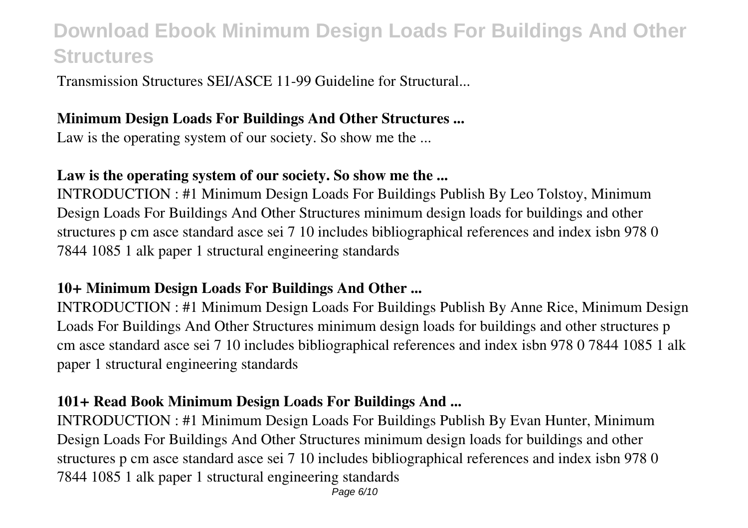Transmission Structures SEI/ASCE 11-99 Guideline for Structural...

#### **Minimum Design Loads For Buildings And Other Structures ...**

Law is the operating system of our society. So show me the ...

### **Law is the operating system of our society. So show me the ...**

INTRODUCTION : #1 Minimum Design Loads For Buildings Publish By Leo Tolstoy, Minimum Design Loads For Buildings And Other Structures minimum design loads for buildings and other structures p cm asce standard asce sei 7 10 includes bibliographical references and index isbn 978 0 7844 1085 1 alk paper 1 structural engineering standards

## **10+ Minimum Design Loads For Buildings And Other ...**

INTRODUCTION : #1 Minimum Design Loads For Buildings Publish By Anne Rice, Minimum Design Loads For Buildings And Other Structures minimum design loads for buildings and other structures p cm asce standard asce sei 7 10 includes bibliographical references and index isbn 978 0 7844 1085 1 alk paper 1 structural engineering standards

## **101+ Read Book Minimum Design Loads For Buildings And ...**

INTRODUCTION : #1 Minimum Design Loads For Buildings Publish By Evan Hunter, Minimum Design Loads For Buildings And Other Structures minimum design loads for buildings and other structures p cm asce standard asce sei 7 10 includes bibliographical references and index isbn 978 0 7844 1085 1 alk paper 1 structural engineering standards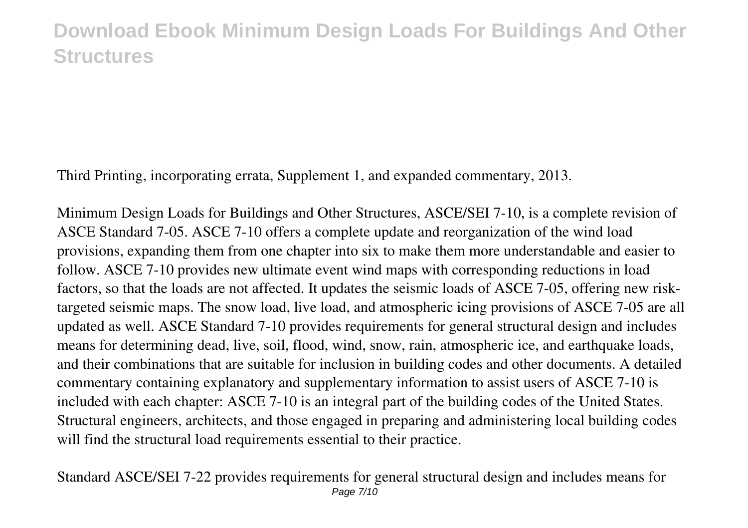Third Printing, incorporating errata, Supplement 1, and expanded commentary, 2013.

Minimum Design Loads for Buildings and Other Structures, ASCE/SEI 7-10, is a complete revision of ASCE Standard 7-05. ASCE 7-10 offers a complete update and reorganization of the wind load provisions, expanding them from one chapter into six to make them more understandable and easier to follow. ASCE 7-10 provides new ultimate event wind maps with corresponding reductions in load factors, so that the loads are not affected. It updates the seismic loads of ASCE 7-05, offering new risktargeted seismic maps. The snow load, live load, and atmospheric icing provisions of ASCE 7-05 are all updated as well. ASCE Standard 7-10 provides requirements for general structural design and includes means for determining dead, live, soil, flood, wind, snow, rain, atmospheric ice, and earthquake loads, and their combinations that are suitable for inclusion in building codes and other documents. A detailed commentary containing explanatory and supplementary information to assist users of ASCE 7-10 is included with each chapter: ASCE 7-10 is an integral part of the building codes of the United States. Structural engineers, architects, and those engaged in preparing and administering local building codes will find the structural load requirements essential to their practice.

Standard ASCE/SEI 7-22 provides requirements for general structural design and includes means for Page 7/10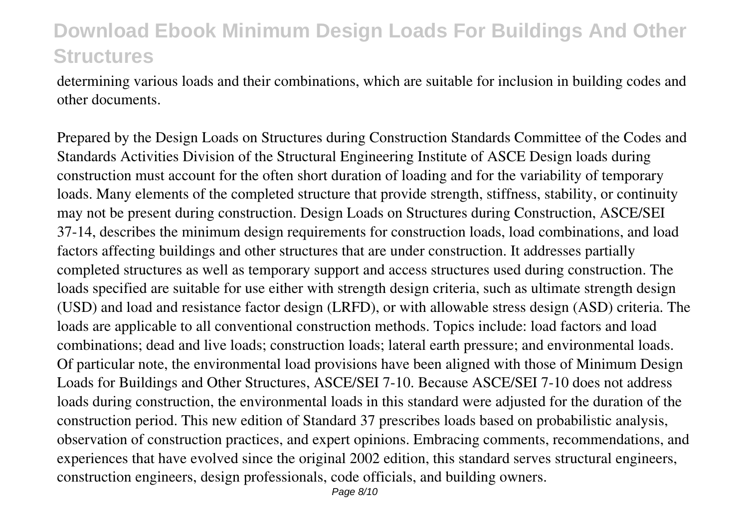determining various loads and their combinations, which are suitable for inclusion in building codes and other documents.

Prepared by the Design Loads on Structures during Construction Standards Committee of the Codes and Standards Activities Division of the Structural Engineering Institute of ASCE Design loads during construction must account for the often short duration of loading and for the variability of temporary loads. Many elements of the completed structure that provide strength, stiffness, stability, or continuity may not be present during construction. Design Loads on Structures during Construction, ASCE/SEI 37-14, describes the minimum design requirements for construction loads, load combinations, and load factors affecting buildings and other structures that are under construction. It addresses partially completed structures as well as temporary support and access structures used during construction. The loads specified are suitable for use either with strength design criteria, such as ultimate strength design (USD) and load and resistance factor design (LRFD), or with allowable stress design (ASD) criteria. The loads are applicable to all conventional construction methods. Topics include: load factors and load combinations; dead and live loads; construction loads; lateral earth pressure; and environmental loads. Of particular note, the environmental load provisions have been aligned with those of Minimum Design Loads for Buildings and Other Structures, ASCE/SEI 7-10. Because ASCE/SEI 7-10 does not address loads during construction, the environmental loads in this standard were adjusted for the duration of the construction period. This new edition of Standard 37 prescribes loads based on probabilistic analysis, observation of construction practices, and expert opinions. Embracing comments, recommendations, and experiences that have evolved since the original 2002 edition, this standard serves structural engineers, construction engineers, design professionals, code officials, and building owners.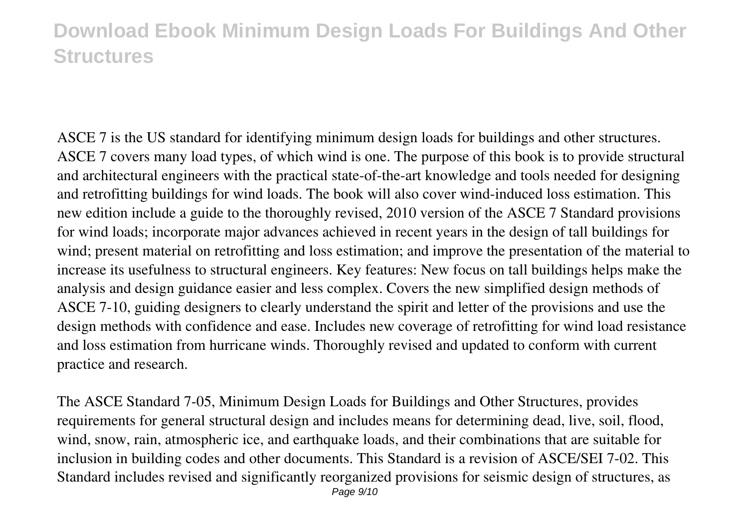ASCE 7 is the US standard for identifying minimum design loads for buildings and other structures. ASCE 7 covers many load types, of which wind is one. The purpose of this book is to provide structural and architectural engineers with the practical state-of-the-art knowledge and tools needed for designing and retrofitting buildings for wind loads. The book will also cover wind-induced loss estimation. This new edition include a guide to the thoroughly revised, 2010 version of the ASCE 7 Standard provisions for wind loads; incorporate major advances achieved in recent years in the design of tall buildings for wind; present material on retrofitting and loss estimation; and improve the presentation of the material to increase its usefulness to structural engineers. Key features: New focus on tall buildings helps make the analysis and design guidance easier and less complex. Covers the new simplified design methods of ASCE 7-10, guiding designers to clearly understand the spirit and letter of the provisions and use the design methods with confidence and ease. Includes new coverage of retrofitting for wind load resistance and loss estimation from hurricane winds. Thoroughly revised and updated to conform with current practice and research.

The ASCE Standard 7-05, Minimum Design Loads for Buildings and Other Structures, provides requirements for general structural design and includes means for determining dead, live, soil, flood, wind, snow, rain, atmospheric ice, and earthquake loads, and their combinations that are suitable for inclusion in building codes and other documents. This Standard is a revision of ASCE/SEI 7-02. This Standard includes revised and significantly reorganized provisions for seismic design of structures, as Page 9/10